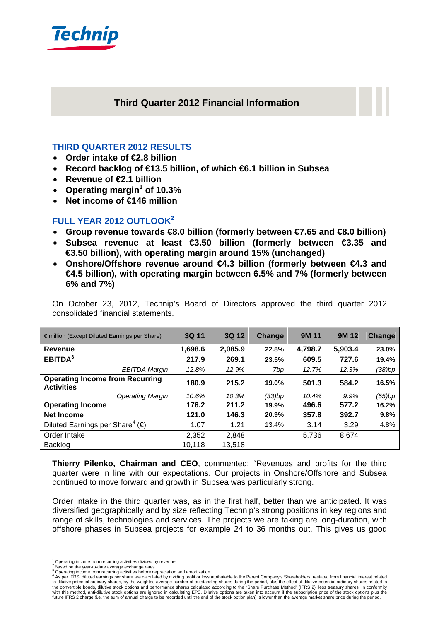

# **Third Quarter 2012 Financial Information**

## **THIRD QUARTER 2012 RESULTS**

- **Order intake of €2.8 billion**
- **Record backlog of €13.5 billion, of which €6.1 billion in Subsea**
- **Revenue of €2.1 billion**
- Operating margin<sup>1</sup> of 10.3%
- **Net income of €146 million**

## **FULL YEAR 2012 OUTLOOK2**

- **Group revenue towards €8.0 billion (formerly between €7.65 and €8.0 billion)**
- **Subsea revenue at least €3.50 billion (formerly between €3.35 and €3.50 billion), with operating margin around 15% (unchanged)**
- **Onshore/Offshore revenue around €4.3 billion (formerly between €4.3 and €4.5 billion), with operating margin between 6.5% and 7% (formerly between 6% and 7%)**

On October 23, 2012, Technip's Board of Directors approved the third quarter 2012 consolidated financial statements.

| $\epsilon$ million (Except Diluted Earnings per Share)      | <b>3Q 11</b> | <b>3Q 12</b> | Change | <b>9M11</b> | <b>9M12</b> | Change |
|-------------------------------------------------------------|--------------|--------------|--------|-------------|-------------|--------|
| Revenue                                                     | 1,698.6      | 2,085.9      | 22.8%  | 4,798.7     | 5,903.4     | 23.0%  |
| EBITDA <sup>3</sup>                                         | 217.9        | 269.1        | 23.5%  | 609.5       | 727.6       | 19.4%  |
| <b>EBITDA Margin</b>                                        | 12.8%        | 12.9%        | 7bp    | 12.7%       | 12.3%       | (38)bp |
| <b>Operating Income from Recurring</b><br><b>Activities</b> | 180.9        | 215.2        | 19.0%  | 501.3       | 584.2       | 16.5%  |
| <b>Operating Margin</b>                                     | 10.6%        | 10.3%        | (33)bp | 10.4%       | 9.9%        | (55)bp |
| <b>Operating Income</b>                                     | 176.2        | 211.2        | 19.9%  | 496.6       | 577.2       | 16.2%  |
| Net Income                                                  | 121.0        | 146.3        | 20.9%  | 357.8       | 392.7       | 9.8%   |
| Diluted Earnings per Share <sup>4</sup> ( $\in$ )           | 1.07         | 1.21         | 13.4%  | 3.14        | 3.29        | 4.8%   |
| Order Intake                                                | 2,352        | 2,848        |        | 5,736       | 8,674       |        |
| Backlog                                                     | 10.118       | 13,518       |        |             |             |        |

**Thierry Pilenko, Chairman and CEO**, commented: "Revenues and profits for the third quarter were in line with our expectations. Our projects in Onshore/Offshore and Subsea continued to move forward and growth in Subsea was particularly strong.

Order intake in the third quarter was, as in the first half, better than we anticipated. It was diversified geographically and by size reflecting Technip's strong positions in key regions and range of skills, technologies and services. The projects we are taking are long-duration, with offshore phases in Subsea projects for example 24 to 36 months out. This gives us good

- <sup>1</sup> Operating income from recurring activities divided by revenue.
- $\frac{2}{3}$  Based on the year-to-date average exchange rates.
- Operating income from recurring activities before depreciation and amortization.

<sup>&</sup>lt;sup>4</sup> As per IFRS, diluted earnings per share are calculated by dividing profit or loss attributable to the Parent Company's Shareholders, restated from financial interest related to dilutive potential ordinary shares, by the weighted average number of outstanding shares during the period, plus the effect of dilutive potential ordinary shares related to<br>the convertible bonds, dilutive stock options with this method, anti-dilutive stock options are ignored in calculating EPS. Dilutive options are taken into account if the subscription price of the stock options plus the future IFRS 2 charge (i.e. the sum of annual charge to be recorded until the end of the stock option plan) is lower than the average market share price during the period.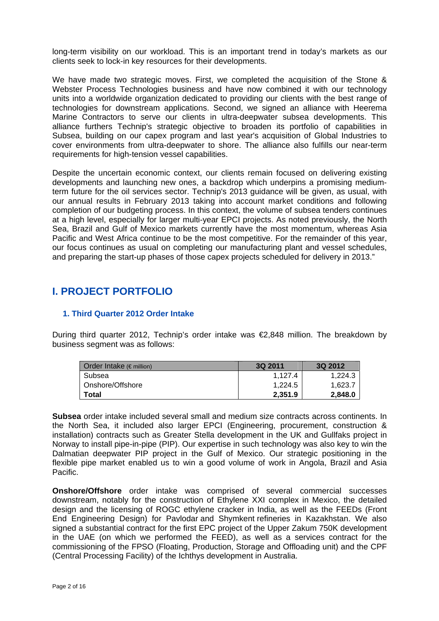**Press Release** long-term visibility on our workload. This is an important trend in today's markets as our clients seek to lock-in key resources for their developments.

We have made two strategic moves. First, we completed the acquisition of the Stone & Webster Process Technologies business and have now combined it with our technology units into a worldwide organization dedicated to providing our clients with the best range of technologies for downstream applications. Second, we signed an alliance with Heerema Marine Contractors to serve our clients in ultra-deepwater subsea developments. This alliance furthers Technip's strategic objective to broaden its portfolio of capabilities in Subsea, building on our capex program and last year's acquisition of Global Industries to cover environments from ultra-deepwater to shore. The alliance also fulfills our near-term requirements for high-tension vessel capabilities.

Despite the uncertain economic context, our clients remain focused on delivering existing developments and launching new ones, a backdrop which underpins a promising mediumterm future for the oil services sector. Technip's 2013 guidance will be given, as usual, with our annual results in February 2013 taking into account market conditions and following completion of our budgeting process. In this context, the volume of subsea tenders continues at a high level, especially for larger multi-year EPCI projects. As noted previously, the North Sea, Brazil and Gulf of Mexico markets currently have the most momentum, whereas Asia Pacific and West Africa continue to be the most competitive. For the remainder of this year, our focus continues as usual on completing our manufacturing plant and vessel schedules, and preparing the start-up phases of those capex projects scheduled for delivery in 2013."

# **I. PROJECT PORTFOLIO**

#### **1. Third Quarter 2012 Order Intake**

During third quarter 2012, Technip's order intake was €2,848 million. The breakdown by business segment was as follows:

| <b>Order Intake (€ million)</b> | 3Q 2011 | 3Q 2012 |
|---------------------------------|---------|---------|
| Subsea                          | 1.127.4 | 1.224.3 |
| l Onshore/Offshore              | 1.224.5 | 1.623.7 |
| Total                           | 2.351.9 | 2.848.0 |

**Subsea** order intake included several small and medium size contracts across continents. In the North Sea, it included also larger EPCI (Engineering, procurement, construction & installation) contracts such as Greater Stella development in the UK and Gullfaks project in Norway to install pipe-in-pipe (PIP). Our expertise in such technology was also key to win the Dalmatian deepwater PIP project in the Gulf of Mexico. Our strategic positioning in the flexible pipe market enabled us to win a good volume of work in Angola, Brazil and Asia Pacific.

**Onshore/Offshore** order intake was comprised of several commercial successes downstream, notably for the construction of Ethylene XXI complex in Mexico, the detailed design and the licensing of ROGC ethylene cracker in India, as well as the FEEDs (Front End Engineering Design) for Pavlodar and Shymkent refineries in Kazakhstan. We also signed a substantial contract for the first EPC project of the Upper Zakum 750K development in the UAE (on which we performed the FEED), as well as a services contract for the commissioning of the FPSO (Floating, Production, Storage and Offloading unit) and the CPF (Central Processing Facility) of the Ichthys development in Australia.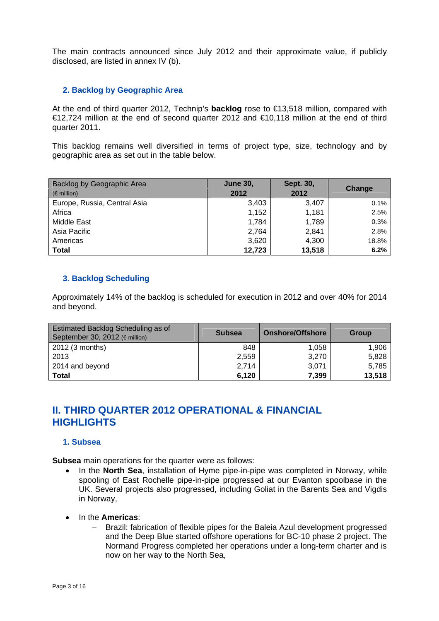The main contracts announced since July 2012 and their approximate value, if publicly disclosed, are listed in annex IV (b).

#### **2. Backlog by Geographic Area**

At the end of third quarter 2012, Technip's **backlog** rose to €13,518 million, compared with €12,724 million at the end of second quarter 2012 and €10,118 million at the end of third quarter 2011.

This backlog remains well diversified in terms of project type, size, technology and by geographic area as set out in the table below.

| Backlog by Geographic Area<br>$(\epsilon$ million) | <b>June 30,</b><br>2012 | Sept. 30,<br>2012 | Change |
|----------------------------------------------------|-------------------------|-------------------|--------|
| Europe, Russia, Central Asia                       | 3,403                   | 3,407             | 0.1%   |
| Africa                                             | 1,152                   | 1,181             | 2.5%   |
| Middle East                                        | 1,784                   | 1,789             | 0.3%   |
| Asia Pacific                                       | 2,764                   | 2,841             | 2.8%   |
| Americas                                           | 3,620                   | 4,300             | 18.8%  |
| <b>Total</b>                                       | 12,723                  | 13,518            | 6.2%   |

#### **3. Backlog Scheduling**

Approximately 14% of the backlog is scheduled for execution in 2012 and over 40% for 2014 and beyond.

| Estimated Backlog Scheduling as of<br>September 30, 2012 (€ million) | <b>Subsea</b> | <b>Onshore/Offshore</b> | Group  |
|----------------------------------------------------------------------|---------------|-------------------------|--------|
| 2012 (3 months)                                                      | 848           | 1,058                   | 1,906  |
| 2013                                                                 | 2.559         | 3,270                   | 5,828  |
| 2014 and beyond                                                      | 2.714         | 3,071                   | 5,785  |
| Total                                                                | 6,120         | 7,399                   | 13,518 |

# **II. THIRD QUARTER 2012 OPERATIONAL & FINANCIAL HIGHLIGHTS**

#### **1. Subsea**

**Subsea** main operations for the quarter were as follows:

- In the **North Sea**, installation of Hyme pipe-in-pipe was completed in Norway, while spooling of East Rochelle pipe-in-pipe progressed at our Evanton spoolbase in the UK. Several projects also progressed, including Goliat in the Barents Sea and Vigdis in Norway,
- In the **Americas**:
	- − Brazil: fabrication of flexible pipes for the Baleia Azul development progressed and the Deep Blue started offshore operations for BC-10 phase 2 project. The Normand Progress completed her operations under a long-term charter and is now on her way to the North Sea,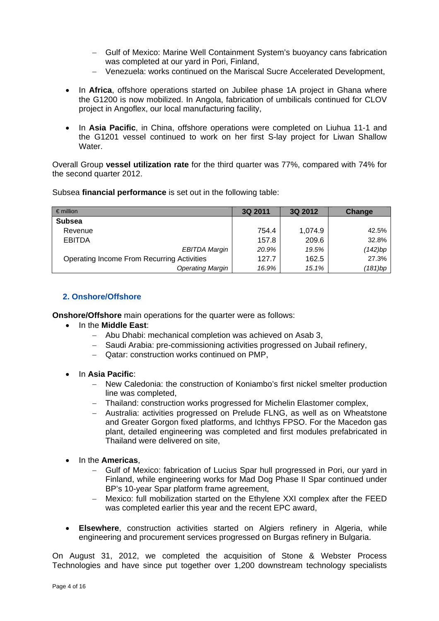- **Press Release** <sup>−</sup> Gulf of Mexico: Marine Well Containment System's buoyancy cans fabrication was completed at our yard in Pori, Finland,
- − Venezuela: works continued on the Mariscal Sucre Accelerated Development,
- In **Africa**, offshore operations started on Jubilee phase 1A project in Ghana where the G1200 is now mobilized. In Angola, fabrication of umbilicals continued for CLOV project in Angoflex, our local manufacturing facility,
- In **Asia Pacific**, in China, offshore operations were completed on Liuhua 11-1 and the G1201 vessel continued to work on her first S-lay project for Liwan Shallow Water.

Overall Group **vessel utilization rate** for the third quarter was 77%, compared with 74% for the second quarter 2012.

Subsea **financial performance** is set out in the following table:

| $\epsilon$ million                         | 3Q 2011 | 3Q 2012 | Change  |
|--------------------------------------------|---------|---------|---------|
| <b>Subsea</b>                              |         |         |         |
| Revenue                                    | 754.4   | 1.074.9 | 42.5%   |
| <b>EBITDA</b>                              | 157.8   | 209.6   | 32.8%   |
| EBITDA Margin                              | 20.9%   | 19.5%   | (142)bp |
| Operating Income From Recurring Activities | 127.7   | 162.5   | 27.3%   |
| <b>Operating Margin</b>                    | 16.9%   | 15.1%   | (181)bp |

#### **2. Onshore/Offshore**

**Onshore/Offshore** main operations for the quarter were as follows:

- In the **Middle East**:
	- − Abu Dhabi: mechanical completion was achieved on Asab 3,
	- − Saudi Arabia: pre-commissioning activities progressed on Jubail refinery,
	- − Qatar: construction works continued on PMP,
- In **Asia Pacific**:
	- − New Caledonia: the construction of Koniambo's first nickel smelter production line was completed,
	- − Thailand: construction works progressed for Michelin Elastomer complex,
	- − Australia: activities progressed on Prelude FLNG, as well as on Wheatstone and Greater Gorgon fixed platforms, and Ichthys FPSO. For the Macedon gas plant, detailed engineering was completed and first modules prefabricated in Thailand were delivered on site,
- In the **Americas**,
	- − Gulf of Mexico: fabrication of Lucius Spar hull progressed in Pori, our yard in Finland, while engineering works for Mad Dog Phase II Spar continued under BP's 10-year Spar platform frame agreement,
	- − Mexico: full mobilization started on the Ethylene XXI complex after the FEED was completed earlier this year and the recent EPC award,
- **Elsewhere**, construction activities started on Algiers refinery in Algeria, while engineering and procurement services progressed on Burgas refinery in Bulgaria.

On August 31, 2012, we completed the acquisition of Stone & Webster Process Technologies and have since put together over 1,200 downstream technology specialists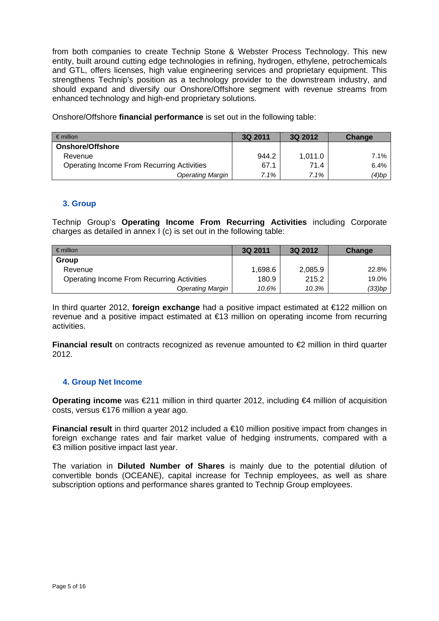from both companies to create Technip Stone & Webster Process Technology. This new entity, built around cutting edge technologies in refining, hydrogen, ethylene, petrochemicals and GTL, offers licenses, high value engineering services and proprietary equipment. This strengthens Technip's position as a technology provider to the downstream industry, and should expand and diversify our Onshore/Offshore segment with revenue streams from enhanced technology and high-end proprietary solutions.

Onshore/Offshore **financial performance** is set out in the following table:

| $\epsilon$ million                         | 3Q 2011 | 3Q 2012 | Change |
|--------------------------------------------|---------|---------|--------|
| <b>Onshore/Offshore</b>                    |         |         |        |
| Revenue                                    | 944.2   | 1.011.0 | 7.1%   |
| Operating Income From Recurring Activities | 67.1    | 71.4    | 6.4%   |
| <b>Operating Margin</b>                    | 7.1%    | 7.1%    | (4)bp  |

#### **3. Group**

Technip Group's **Operating Income From Recurring Activities** including Corporate charges as detailed in annex I (c) is set out in the following table:

| $\epsilon$ million                         | 3Q 2011 | 3Q 2012 | Change |
|--------------------------------------------|---------|---------|--------|
| Group                                      |         |         |        |
| Revenue                                    | 1,698.6 | 2,085.9 | 22.8%  |
| Operating Income From Recurring Activities | 180.9   | 215.2   | 19.0%  |
| <b>Operating Margin</b>                    | 10.6%   | 10.3%   | (33)bp |

In third quarter 2012, **foreign exchange** had a positive impact estimated at €122 million on revenue and a positive impact estimated at €13 million on operating income from recurring activities.

**Financial result** on contracts recognized as revenue amounted to €2 million in third quarter 2012.

#### **4. Group Net Income**

**Operating income** was €211 million in third quarter 2012, including €4 million of acquisition costs, versus €176 million a year ago.

**Financial result** in third quarter 2012 included a €10 million positive impact from changes in foreign exchange rates and fair market value of hedging instruments, compared with a €3 million positive impact last year.

The variation in **Diluted Number of Shares** is mainly due to the potential dilution of convertible bonds (OCEANE), capital increase for Technip employees, as well as share subscription options and performance shares granted to Technip Group employees.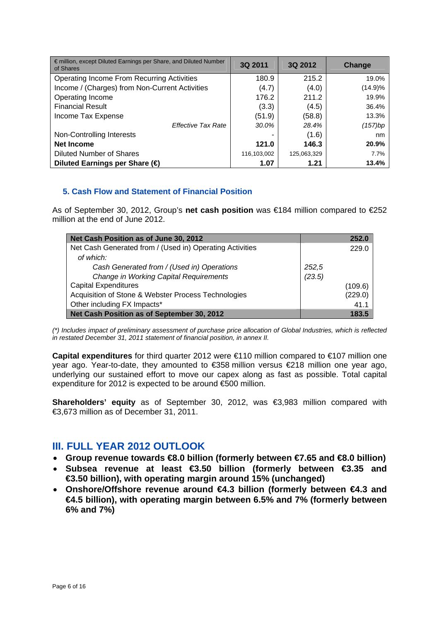| € million, except Diluted Earnings per Share, and Diluted Number<br>of Shares | 3Q 2011     | <b>3Q 2012</b> | Change  |
|-------------------------------------------------------------------------------|-------------|----------------|---------|
| <b>Operating Income From Recurring Activities</b>                             | 180.9       | 215.2          | 19.0%   |
| Income / (Charges) from Non-Current Activities                                | (4.7)       | (4.0)          | (14.9)% |
| Operating Income                                                              | 176.2       | 211.2          | 19.9%   |
| <b>Financial Result</b>                                                       | (3.3)       | (4.5)          | 36.4%   |
| Income Tax Expense                                                            | (51.9)      | (58.8)         | 13.3%   |
| <b>Effective Tax Rate</b>                                                     | 30.0%       | 28.4%          | (157)bp |
| Non-Controlling Interests                                                     |             | (1.6)          | nm      |
| <b>Net Income</b>                                                             | 121.0       | 146.3          | 20.9%   |
| <b>Diluted Number of Shares</b>                                               | 116.103.002 | 125.063.329    | 7.7%    |
| Diluted Earnings per Share (€)                                                | 1.07        | 1.21           | 13.4%   |

### **5. Cash Flow and Statement of Financial Position**

As of September 30, 2012, Group's **net cash position** was €184 million compared to €252 million at the end of June 2012.

| Net Cash Position as of June 30, 2012                    | 252.0   |
|----------------------------------------------------------|---------|
| Net Cash Generated from / (Used in) Operating Activities | 229.0   |
| of which:                                                |         |
| Cash Generated from / (Used in) Operations               | 252,5   |
| Change in Working Capital Requirements                   | (23.5)  |
| <b>Capital Expenditures</b>                              | (109.6) |
| Acquisition of Stone & Webster Process Technologies      | (229.0) |
| Other including FX Impacts*                              | 41.1    |
| Net Cash Position as of September 30, 2012               | 183.5   |

*(\*) Includes impact of preliminary assessment of purchase price allocation of Global Industries, which is reflected in restated December 31, 2011 statement of financial position, in annex II.* 

**Capital expenditures** for third quarter 2012 were €110 million compared to €107 million one year ago. Year-to-date, they amounted to €358 million versus €218 million one year ago, underlying our sustained effort to move our capex along as fast as possible. Total capital expenditure for 2012 is expected to be around €500 million.

**Shareholders' equity** as of September 30, 2012, was €3,983 million compared with €3,673 million as of December 31, 2011.

# **III. FULL YEAR 2012 OUTLOOK**

- **Group revenue towards €8.0 billion (formerly between €7.65 and €8.0 billion)**
- **Subsea revenue at least €3.50 billion (formerly between €3.35 and €3.50 billion), with operating margin around 15% (unchanged)**
- **Onshore/Offshore revenue around €4.3 billion (formerly between €4.3 and €4.5 billion), with operating margin between 6.5% and 7% (formerly between 6% and 7%)**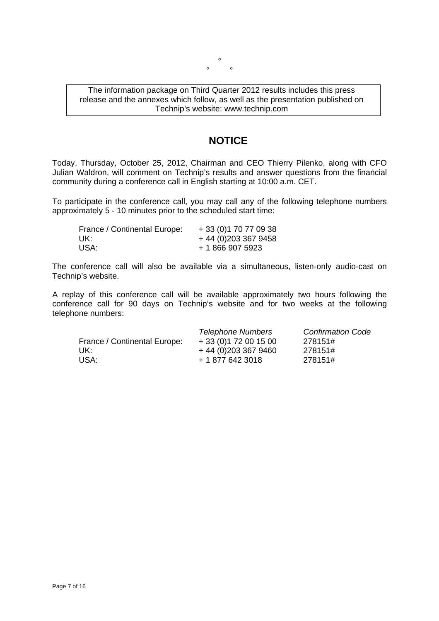°  $\circ$   $\circ$ 

The information package on Third Quarter 2012 results includes this press release and the annexes which follow, as well as the presentation published on Technip's website: www.technip.com

# **NOTICE**

Today, Thursday, October 25, 2012, Chairman and CEO Thierry Pilenko, along with CFO Julian Waldron, will comment on Technip's results and answer questions from the financial community during a conference call in English starting at 10:00 a.m. CET.

To participate in the conference call, you may call any of the following telephone numbers approximately 5 - 10 minutes prior to the scheduled start time:

| France / Continental Europe: | + 33 (0) 1 70 77 09 38 |
|------------------------------|------------------------|
| UK:                          | + 44 (0) 203 367 9458  |
| USA:                         | + 1 866 907 5923       |

The conference call will also be available via a simultaneous, listen-only audio-cast on Technip's website.

A replay of this conference call will be available approximately two hours following the conference call for 90 days on Technip's website and for two weeks at the following telephone numbers:

|                              | <b>Telephone Numbers</b> | <b>Confirmation Code</b> |
|------------------------------|--------------------------|--------------------------|
| France / Continental Europe: | + 33 (0) 1 72 00 15 00   | 278151#                  |
| UK:                          | + 44 (0) 203 367 9460    | 278151#                  |
| USA:                         | + 1 877 642 3018         | 278151#                  |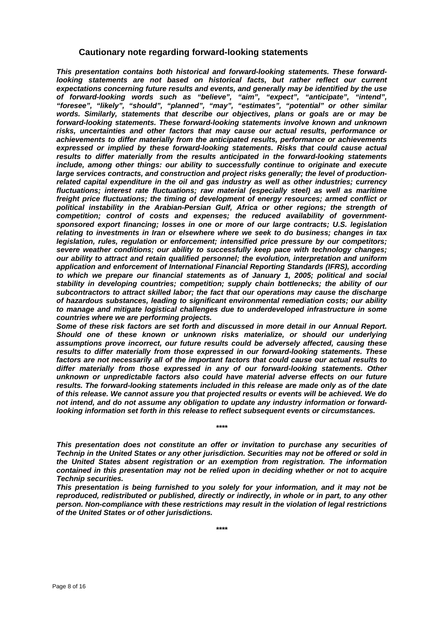#### **Cautionary note regarding forward-looking statements**

*This presentation contains both historical and forward-looking statements. These forward*looking statements are not based on historical facts, but rather reflect our current *expectations concerning future results and events, and generally may be identified by the use of forward-looking words such as "believe", "aim", "expect", "anticipate", "intend", "foresee", "likely", "should", "planned", "may", "estimates", "potential" or other similar words. Similarly, statements that describe our objectives, plans or goals are or may be forward-looking statements. These forward-looking statements involve known and unknown risks, uncertainties and other factors that may cause our actual results, performance or achievements to differ materially from the anticipated results, performance or achievements expressed or implied by these forward-looking statements. Risks that could cause actual results to differ materially from the results anticipated in the forward-looking statements include, among other things: our ability to successfully continue to originate and execute large services contracts, and construction and project risks generally; the level of productionrelated capital expenditure in the oil and gas industry as well as other industries; currency fluctuations; interest rate fluctuations; raw material (especially steel) as well as maritime freight price fluctuations; the timing of development of energy resources; armed conflict or political instability in the Arabian-Persian Gulf, Africa or other regions; the strength of competition; control of costs and expenses; the reduced availability of governmentsponsored export financing; losses in one or more of our large contracts; U.S. legislation relating to investments in Iran or elsewhere where we seek to do business; changes in tax legislation, rules, regulation or enforcement; intensified price pressure by our competitors; severe weather conditions; our ability to successfully keep pace with technology changes; our ability to attract and retain qualified personnel; the evolution, interpretation and uniform application and enforcement of International Financial Reporting Standards (IFRS), according to which we prepare our financial statements as of January 1, 2005; political and social stability in developing countries; competition; supply chain bottlenecks; the ability of our subcontractors to attract skilled labor; the fact that our operations may cause the discharge of hazardous substances, leading to significant environmental remediation costs; our ability to manage and mitigate logistical challenges due to underdeveloped infrastructure in some countries where we are performing projects.* 

*Some of these risk factors are set forth and discussed in more detail in our Annual Report. Should one of these known or unknown risks materialize, or should our underlying assumptions prove incorrect, our future results could be adversely affected, causing these results to differ materially from those expressed in our forward-looking statements. These factors are not necessarily all of the important factors that could cause our actual results to differ materially from those expressed in any of our forward-looking statements. Other unknown or unpredictable factors also could have material adverse effects on our future results. The forward-looking statements included in this release are made only as of the date of this release. We cannot assure you that projected results or events will be achieved. We do not intend, and do not assume any obligation to update any industry information or forwardlooking information set forth in this release to reflect subsequent events or circumstances.* 

*This presentation does not constitute an offer or invitation to purchase any securities of Technip in the United States or any other jurisdiction. Securities may not be offered or sold in the United States absent registration or an exemption from registration. The information contained in this presentation may not be relied upon in deciding whether or not to acquire Technip securities.* 

*\*\*\*\** 

*This presentation is being furnished to you solely for your information, and it may not be reproduced, redistributed or published, directly or indirectly, in whole or in part, to any other person. Non-compliance with these restrictions may result in the violation of legal restrictions of the United States or of other jurisdictions.* 

*\*\*\*\**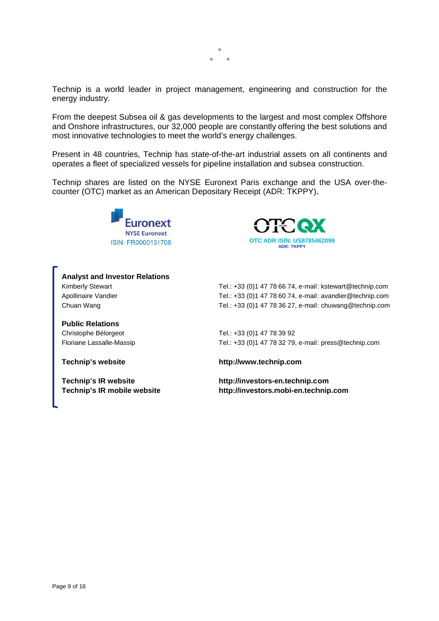Technip is a world leader in project management, engineering and construction for the energy industry.

From the deepest Subsea oil & gas developments to the largest and most complex Offshore and Onshore infrastructures, our 32,000 people are constantly offering the best solutions and most innovative technologies to meet the world's energy challenges. in project manage<br>
I & gas developme<br>
our 32,000 people<br>
to meet the world<sup>?</sup><br>
thnip has state-of-t<br>
d vessels for pipelin<br>
n the NYSE Euror<br>
American Deposita<br>
ext<br>
1708<br>
ons<br>
T<sub>T</sub><br>
TT<br>
TT<br>
TT<br>
TT<br>
TT<br> **h**<br>
h

Present in 48 countries, Technip has state-of-the-art industrial assets on all continents and operates a fleet of specialized vessels for pipeline installation and subsea construction.

Technip shares are listed on the NYSE Euronext Paris exchange and the USA over-thecounter (OTC) market as an American Depositary Receipt (ADR: TKPPY).





#### **Analyst and Investor Relations**

Kimberly Stewart Apollin naire Vandier Chuan n Wang

Tel.: +3 33 (0)1 47 78 66 74, e-mail : kstewart@te echnip.com Tel.: +3 33 (0)1 47 78 60 74, e-mail : avandier@te echnip.com Tel.: +3 33 (0)1 47 78 36 27, e-mail : chuwang@te echnip.com

**Publi ic Relations** Christophe Bélorgeot Florian ne Lassalle-M Massip

**Tech nip's websit te** 

**Tech nip's IR web bsite Tech nip's IR mo bile website** Tel.: +3 33 (0)1 47 78 39 92 Tel.: +3 33 (0)1 47 78 32 79, e-mail : press@techn nip.com

**http:// /www.techn ip.com** 

**http:// /investors-e en.technip.c com http://investors.mobi-en.technip.com**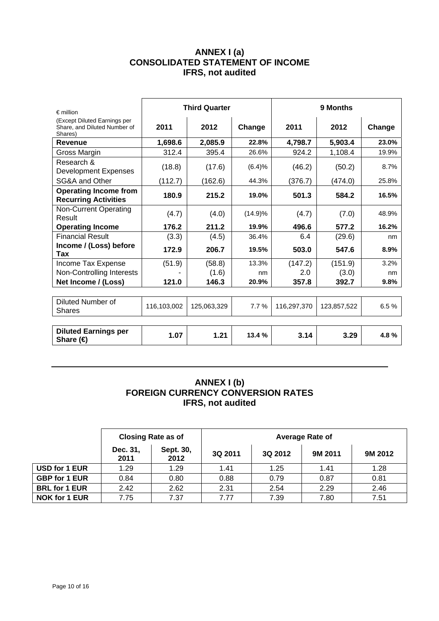# **Press Release ANNEX I (a) CONSOLIDATED STATEMENT OF INCOME IFRS, not audited**

| $\epsilon$ million                                                      |             | <b>Third Quarter</b> |         |             | 9 Months    |        |
|-------------------------------------------------------------------------|-------------|----------------------|---------|-------------|-------------|--------|
| (Except Diluted Earnings per<br>Share, and Diluted Number of<br>Shares) | 2011        | 2012                 | Change  | 2011        | 2012        | Change |
| <b>Revenue</b>                                                          | 1,698.6     | 2,085.9              | 22.8%   | 4,798.7     | 5,903.4     | 23.0%  |
| Gross Margin                                                            | 312.4       | 395.4                | 26.6%   | 924.2       | 1,108.4     | 19.9%  |
| Research &<br><b>Development Expenses</b>                               | (18.8)      | (17.6)               | (6.4)%  | (46.2)      | (50.2)      | 8.7%   |
| SG&A and Other                                                          | (112.7)     | (162.6)              | 44.3%   | (376.7)     | (474.0)     | 25.8%  |
| <b>Operating Income from</b><br><b>Recurring Activities</b>             | 180.9       | 215.2                | 19.0%   | 501.3       | 584.2       | 16.5%  |
| <b>Non-Current Operating</b><br>Result                                  | (4.7)       | (4.0)                | (14.9)% | (4.7)       | (7.0)       | 48.9%  |
| <b>Operating Income</b>                                                 | 176.2       | 211.2                | 19.9%   | 496.6       | 577.2       | 16.2%  |
| <b>Financial Result</b>                                                 | (3.3)       | (4.5)                | 36.4%   | 6.4         | (29.6)      | nm     |
| Income / (Loss) before<br>Tax                                           | 172.9       | 206.7                | 19.5%   | 503.0       | 547.6       | 8.9%   |
| Income Tax Expense                                                      | (51.9)      | (58.8)               | 13.3%   | (147.2)     | (151.9)     | 3.2%   |
| Non-Controlling Interests                                               |             | (1.6)                | nm      | 2.0         | (3.0)       | nm     |
| Net Income / (Loss)                                                     | 121.0       | 146.3                | 20.9%   | 357.8       | 392.7       | 9.8%   |
|                                                                         |             |                      |         |             |             |        |
| Diluted Number of<br><b>Shares</b>                                      | 116,103,002 | 125,063,329          | 7.7%    | 116,297,370 | 123,857,522 | 6.5%   |
|                                                                         |             |                      |         |             |             |        |
| <b>Diluted Earnings per</b><br>Share $\bigoplus$                        | 1.07        | 1.21                 | 13.4 %  | 3.14        | 3.29        | 4.8%   |

## **ANNEX I (b) FOREIGN CURRENCY CONVERSION RATES IFRS, not audited**

|                      | <b>Closing Rate as of</b> |                   | Average Rate of |         |         |         |
|----------------------|---------------------------|-------------------|-----------------|---------|---------|---------|
|                      | Dec. 31,<br>2011          | Sept. 30,<br>2012 | 3Q 2011         | 3Q 2012 | 9M 2011 | 9M 2012 |
| USD for 1 EUR        | 1.29                      | 1.29              | 1.41            | 1.25    | 1.41    | 1.28    |
| <b>GBP for 1 EUR</b> | 0.84                      | 0.80              | 0.88            | 0.79    | 0.87    | 0.81    |
| <b>BRL for 1 EUR</b> | 2.42                      | 2.62              | 2.31            | 2.54    | 2.29    | 2.46    |
| <b>NOK for 1 EUR</b> | 7.75                      | 7.37              | 7.77            | 7.39    | 7.80    | 7.51    |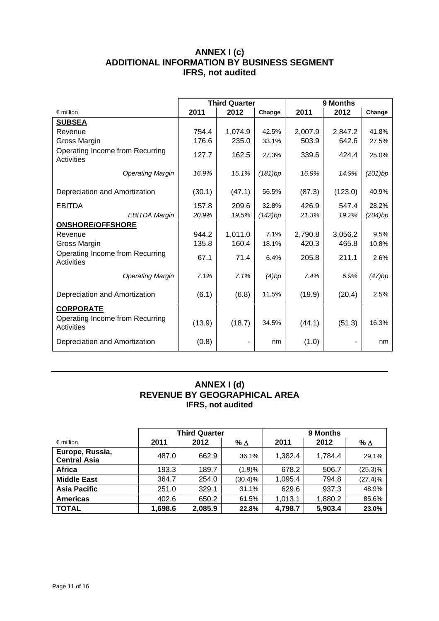# **Press Release ANNEX I (c) ADDITIONAL INFORMATION BY BUSINESS SEGMENT IFRS, not audited**

|                                               | <b>Third Quarter</b> |         | 9 Months |         |         |         |
|-----------------------------------------------|----------------------|---------|----------|---------|---------|---------|
| $\epsilon$ million                            | 2011                 | 2012    | Change   | 2011    | 2012    | Change  |
| <b>SUBSEA</b>                                 |                      |         |          |         |         |         |
| Revenue                                       | 754.4                | 1,074.9 | 42.5%    | 2,007.9 | 2,847.2 | 41.8%   |
| Gross Margin                                  | 176.6                | 235.0   | 33.1%    | 503.9   | 642.6   | 27.5%   |
| Operating Income from Recurring<br>Activities | 127.7                | 162.5   | 27.3%    | 339.6   | 424.4   | 25.0%   |
| <b>Operating Margin</b>                       | 16.9%                | 15.1%   | (181)bp  | 16.9%   | 14.9%   | (201)bp |
| Depreciation and Amortization                 | (30.1)               | (47.1)  | 56.5%    | (87.3)  | (123.0) | 40.9%   |
| <b>EBITDA</b>                                 | 157.8                | 209.6   | 32.8%    | 426.9   | 547.4   | 28.2%   |
| <b>EBITDA Margin</b>                          | 20.9%                | 19.5%   | (142)bp  | 21.3%   | 19.2%   | (204)bp |
| <b>ONSHORE/OFFSHORE</b>                       |                      |         |          |         |         |         |
| Revenue                                       | 944.2                | 1,011.0 | 7.1%     | 2,790.8 | 3,056.2 | 9.5%    |
| Gross Margin                                  | 135.8                | 160.4   | 18.1%    | 420.3   | 465.8   | 10.8%   |
| Operating Income from Recurring<br>Activities | 67.1                 | 71.4    | 6.4%     | 205.8   | 211.1   | 2.6%    |
| <b>Operating Margin</b>                       | 7.1%                 | 7.1%    | (4)bp    | 7.4%    | 6.9%    | (47)bp  |
| Depreciation and Amortization                 | (6.1)                | (6.8)   | 11.5%    | (19.9)  | (20.4)  | 2.5%    |
| <b>CORPORATE</b>                              |                      |         |          |         |         |         |
| Operating Income from Recurring<br>Activities | (13.9)               | (18.7)  | 34.5%    | (44.1)  | (51.3)  | 16.3%   |
| Depreciation and Amortization                 | (0.8)                |         | nm       | (1.0)   |         | nm      |

## **ANNEX I (d) REVENUE BY GEOGRAPHICAL AREA IFRS, not audited**

|                                        | <b>Third Quarter</b> |         |            | 9 Months |         |            |
|----------------------------------------|----------------------|---------|------------|----------|---------|------------|
| $\epsilon$ million                     | 2011                 | 2012    | $% \Delta$ | 2011     | 2012    | $% \Delta$ |
| Europe, Russia,<br><b>Central Asia</b> | 487.0                | 662.9   | 36.1%      | 1,382.4  | 1,784.4 | 29.1%      |
| Africa                                 | 193.3                | 189.7   | (1.9)%     | 678.2    | 506.7   | $(25.3)\%$ |
| <b>Middle East</b>                     | 364.7                | 254.0   | $(30.4)\%$ | 1,095.4  | 794.8   | (27.4)%    |
| <b>Asia Pacific</b>                    | 251.0                | 329.1   | 31.1%      | 629.6    | 937.3   | 48.9%      |
| <b>Americas</b>                        | 402.6                | 650.2   | 61.5%      | 1,013.1  | 1,880.2 | 85.6%      |
| <b>TOTAL</b>                           | 1,698.6              | 2,085.9 | 22.8%      | 4,798.7  | 5,903.4 | 23.0%      |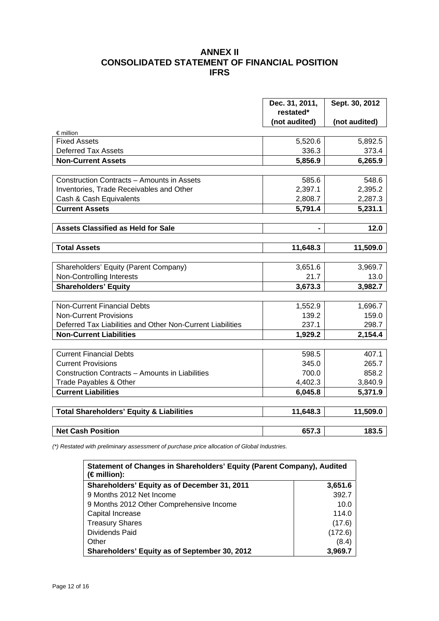### **ANNEX II CONSOLIDATED STATEMENT OF FINANCIAL POSITION IFRS**

|                                                            | Dec. 31, 2011, | Sept. 30, 2012 |
|------------------------------------------------------------|----------------|----------------|
|                                                            | restated*      |                |
|                                                            | (not audited)  | (not audited)  |
| $\epsilon$ million                                         |                |                |
| <b>Fixed Assets</b>                                        | 5,520.6        | 5,892.5        |
| <b>Deferred Tax Assets</b>                                 | 336.3          | 373.4          |
| <b>Non-Current Assets</b>                                  | 5,856.9        | 6,265.9        |
|                                                            |                |                |
| Construction Contracts - Amounts in Assets                 | 585.6          | 548.6          |
| Inventories, Trade Receivables and Other                   | 2,397.1        | 2,395.2        |
| Cash & Cash Equivalents                                    | 2,808.7        | 2,287.3        |
| <b>Current Assets</b>                                      | 5,791.4        | 5,231.1        |
|                                                            |                |                |
| <b>Assets Classified as Held for Sale</b>                  |                | 12.0           |
|                                                            |                |                |
| <b>Total Assets</b>                                        | 11,648.3       | 11,509.0       |
|                                                            |                |                |
| Shareholders' Equity (Parent Company)                      | 3,651.6        | 3,969.7        |
| Non-Controlling Interests                                  | 21.7           | 13.0           |
| <b>Shareholders' Equity</b>                                | 3,673.3        | 3,982.7        |
| <b>Non-Current Financial Debts</b>                         | 1,552.9        | 1,696.7        |
| <b>Non-Current Provisions</b>                              | 139.2          | 159.0          |
| Deferred Tax Liabilities and Other Non-Current Liabilities | 237.1          | 298.7          |
| <b>Non-Current Liabilities</b>                             | 1,929.2        | 2,154.4        |
|                                                            |                |                |
| <b>Current Financial Debts</b>                             | 598.5          | 407.1          |
| <b>Current Provisions</b>                                  | 345.0          | 265.7          |
| Construction Contracts - Amounts in Liabilities            | 700.0          | 858.2          |
| Trade Payables & Other                                     | 4,402.3        | 3,840.9        |
| <b>Current Liabilities</b>                                 | 6,045.8        | 5,371.9        |
|                                                            |                |                |
| <b>Total Shareholders' Equity &amp; Liabilities</b>        | 11,648.3       | 11,509.0       |
|                                                            |                |                |
| <b>Net Cash Position</b>                                   | 657.3          | 183.5          |

*(\*) Restated with preliminary assessment of purchase price allocation of Global Industries.*

| Statement of Changes in Shareholders' Equity (Parent Company), Audited<br>$(\epsilon$ million): |         |  |  |
|-------------------------------------------------------------------------------------------------|---------|--|--|
| Shareholders' Equity as of December 31, 2011                                                    | 3,651.6 |  |  |
| 9 Months 2012 Net Income                                                                        | 392.7   |  |  |
| 9 Months 2012 Other Comprehensive Income                                                        | 10.0    |  |  |
| Capital Increase                                                                                | 114.0   |  |  |
| <b>Treasury Shares</b>                                                                          | (17.6)  |  |  |
| Dividends Paid                                                                                  | (172.6) |  |  |
| Other                                                                                           | (8.4)   |  |  |
| Shareholders' Equity as of September 30, 2012                                                   | 3.969.7 |  |  |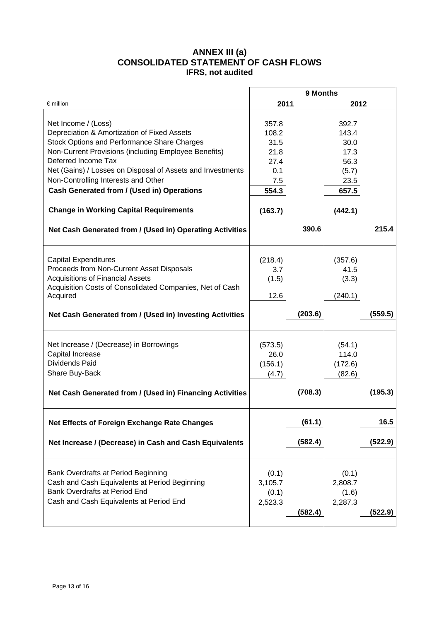# **Press Release ANNEX III (a) CONSOLIDATED STATEMENT OF CASH FLOWS IFRS, not audited**

|                                                                                                                                                                                                                                                                                                                                                                                                      | 9 Months                                                                 |                                                                              |
|------------------------------------------------------------------------------------------------------------------------------------------------------------------------------------------------------------------------------------------------------------------------------------------------------------------------------------------------------------------------------------------------------|--------------------------------------------------------------------------|------------------------------------------------------------------------------|
| $\epsilon$ million                                                                                                                                                                                                                                                                                                                                                                                   | 2011                                                                     | 2012                                                                         |
| Net Income / (Loss)<br>Depreciation & Amortization of Fixed Assets<br>Stock Options and Performance Share Charges<br>Non-Current Provisions (including Employee Benefits)<br>Deferred Income Tax<br>Net (Gains) / Losses on Disposal of Assets and Investments<br>Non-Controlling Interests and Other<br>Cash Generated from / (Used in) Operations<br><b>Change in Working Capital Requirements</b> | 357.8<br>108.2<br>31.5<br>21.8<br>27.4<br>0.1<br>7.5<br>554.3<br>(163.7) | 392.7<br>143.4<br>30.0<br>17.3<br>56.3<br>(5.7)<br>23.5<br>657.5<br>(442.1)  |
| Net Cash Generated from / (Used in) Operating Activities                                                                                                                                                                                                                                                                                                                                             | 390.6                                                                    | 215.4                                                                        |
| <b>Capital Expenditures</b><br>Proceeds from Non-Current Asset Disposals<br><b>Acquisitions of Financial Assets</b><br>Acquisition Costs of Consolidated Companies, Net of Cash<br>Acquired<br>Net Cash Generated from / (Used in) Investing Activities<br>Net Increase / (Decrease) in Borrowings<br>Capital Increase<br>Dividends Paid                                                             | (218.4)<br>3.7<br>(1.5)<br>12.6<br>(203.6)<br>(573.5)<br>26.0<br>(156.1) | (357.6)<br>41.5<br>(3.3)<br>(240.1)<br>(559.5)<br>(54.1)<br>114.0<br>(172.6) |
| Share Buy-Back                                                                                                                                                                                                                                                                                                                                                                                       | (4.7)                                                                    | (82.6)                                                                       |
| Net Cash Generated from / (Used in) Financing Activities                                                                                                                                                                                                                                                                                                                                             | (708.3)                                                                  | (195.3)                                                                      |
| Net Effects of Foreign Exchange Rate Changes                                                                                                                                                                                                                                                                                                                                                         | (61.1)                                                                   | 16.5                                                                         |
| Net Increase / (Decrease) in Cash and Cash Equivalents                                                                                                                                                                                                                                                                                                                                               | (582.4)                                                                  | (522.9)                                                                      |
| Bank Overdrafts at Period Beginning<br>Cash and Cash Equivalents at Period Beginning<br><b>Bank Overdrafts at Period End</b><br>Cash and Cash Equivalents at Period End                                                                                                                                                                                                                              | (0.1)<br>3,105.7<br>(0.1)<br>2,523.3<br>(582.4)                          | (0.1)<br>2,808.7<br>(1.6)<br>2,287.3<br>(522.9)                              |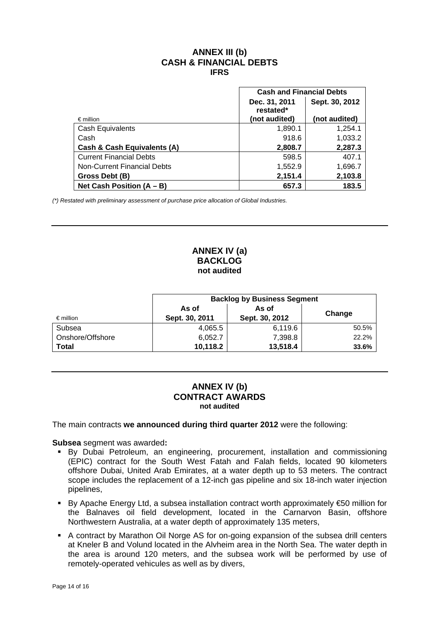#### **ANNEX III (b) CASH & FINANCIAL DEBTS IFRS**

|                                    | <b>Cash and Financial Debts</b> |                |  |
|------------------------------------|---------------------------------|----------------|--|
|                                    | Dec. 31, 2011<br>restated*      | Sept. 30, 2012 |  |
| $\epsilon$ million                 | (not audited)                   | (not audited)  |  |
| Cash Equivalents                   | 1,890.1                         | 1,254.1        |  |
| Cash                               | 918.6                           | 1,033.2        |  |
| Cash & Cash Equivalents (A)        | 2,808.7                         | 2,287.3        |  |
| <b>Current Financial Debts</b>     | 598.5                           | 407.1          |  |
| <b>Non-Current Financial Debts</b> | 1,552.9                         | 1,696.7        |  |
| Gross Debt (B)                     | 2,151.4                         | 2,103.8        |  |
| Net Cash Position $(A - B)$        | 657.3                           | 183.5          |  |

*(\*) Restated with preliminary assessment of purchase price allocation of Global Industries.*

### **ANNEX IV (a) BACKLOG not audited**

|                    |                | <b>Backlog by Business Segment</b> |        |  |  |
|--------------------|----------------|------------------------------------|--------|--|--|
|                    | As of          |                                    |        |  |  |
| $\epsilon$ million | Sept. 30, 2011 | Sept. 30, 2012                     | Change |  |  |
| Subsea             | 4,065.5        | 6,119.6                            | 50.5%  |  |  |
| Onshore/Offshore   | 6,052.7        | 7,398.8                            | 22.2%  |  |  |
| <b>Total</b>       | 10,118.2       | 13,518.4                           | 33.6%  |  |  |

### **ANNEX IV (b) CONTRACT AWARDS not audited**

The main contracts **we announced during third quarter 2012** were the following:

**Subsea** segment was awarded**:** 

- By Dubai Petroleum, an engineering, procurement, installation and commissioning (EPIC) contract for the South West Fatah and Falah fields, located 90 kilometers offshore Dubai, United Arab Emirates, at a water depth up to 53 meters. The contract scope includes the replacement of a 12-inch gas pipeline and six 18-inch water injection pipelines,
- By Apache Energy Ltd, a subsea installation contract worth approximately  $\epsilon$ 50 million for the Balnaves oil field development, located in the Carnarvon Basin, offshore Northwestern Australia, at a water depth of approximately 135 meters,
- A contract by Marathon Oil Norge AS for on-going expansion of the subsea drill centers at Kneler B and Volund located in the Alvheim area in the North Sea. The water depth in the area is around 120 meters, and the subsea work will be performed by use of remotely-operated vehicules as well as by divers,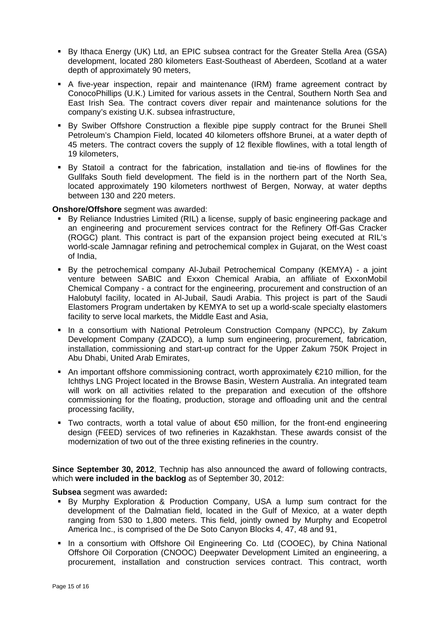- **P** By Ithaca Energy (UK) Ltd, an EPIC subsea contract for the Greater Stella Area (GSA) development, located 280 kilometers East-Southeast of Aberdeen, Scotland at a water depth of approximately 90 meters,
- A five-year inspection, repair and maintenance (IRM) frame agreement contract by ConocoPhillips (U.K.) Limited for various assets in the Central, Southern North Sea and East Irish Sea. The contract covers diver repair and maintenance solutions for the company's existing U.K. subsea infrastructure,
- By Swiber Offshore Construction a flexible pipe supply contract for the Brunei Shell Petroleum's Champion Field, located 40 kilometers offshore Brunei, at a water depth of 45 meters. The contract covers the supply of 12 flexible flowlines, with a total length of 19 kilometers,
- By Statoil a contract for the fabrication, installation and tie-ins of flowlines for the Gullfaks South field development. The field is in the northern part of the North Sea, located approximately 190 kilometers northwest of Bergen, Norway, at water depths between 130 and 220 meters.

#### **Onshore/Offshore** segment was awarded:

- By Reliance Industries Limited (RIL) a license, supply of basic engineering package and an engineering and procurement services contract for the Refinery Off-Gas Cracker (ROGC) plant. This contract is part of the expansion project being executed at RIL's world-scale Jamnagar refining and petrochemical complex in Gujarat, on the West coast of India,
- By the petrochemical company Al-Jubail Petrochemical Company (KEMYA) a joint venture between SABIC and Exxon Chemical Arabia, an affiliate of ExxonMobil Chemical Company - a contract for the engineering, procurement and construction of an Halobutyl facility, located in Al-Jubail, Saudi Arabia. This project is part of the Saudi Elastomers Program undertaken by KEMYA to set up a world-scale specialty elastomers facility to serve local markets, the Middle East and Asia,
- In a consortium with National Petroleum Construction Company (NPCC), by Zakum Development Company (ZADCO), a lump sum engineering, procurement, fabrication, installation, commissioning and start-up contract for the Upper Zakum 750K Project in Abu Dhabi, United Arab Emirates,
- An important offshore commissioning contract, worth approximately  $\epsilon$ 210 million, for the Ichthys LNG Project located in the Browse Basin, Western Australia. An integrated team will work on all activities related to the preparation and execution of the offshore commissioning for the floating, production, storage and offloading unit and the central processing facility,
- Two contracts, worth a total value of about  $€50$  million, for the front-end engineering design (FEED) services of two refineries in Kazakhstan. These awards consist of the modernization of two out of the three existing refineries in the country.

**Since September 30, 2012**, Technip has also announced the award of following contracts, which **were included in the backlog** as of September 30, 2012:

**Subsea** segment was awarded**:** 

- By Murphy Exploration & Production Company, USA a lump sum contract for the development of the Dalmatian field, located in the Gulf of Mexico, at a water depth ranging from 530 to 1,800 meters. This field, jointly owned by Murphy and Ecopetrol America Inc., is comprised of the De Soto Canyon Blocks 4, 47, 48 and 91,
- In a consortium with Offshore Oil Engineering Co. Ltd (COOEC), by China National Offshore Oil Corporation (CNOOC) Deepwater Development Limited an engineering, a procurement, installation and construction services contract. This contract, worth